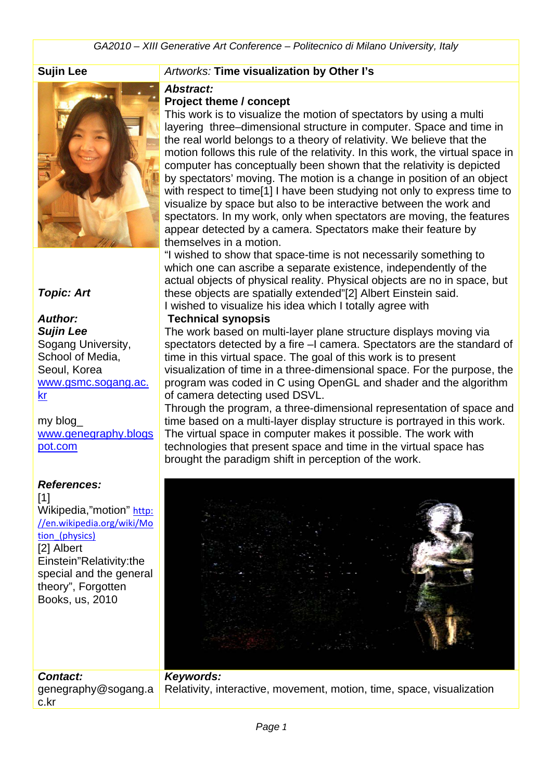*GA2010 – XIII Generative Art Conference – Politecnico di Milano University, Italy*



#### *Topic: Art*

# *Author:*

*Sujin Lee* Sogang University, School of Media, Seoul, Korea [www.gsmc.sogang.ac.](http://www.gsmc.sogang.ac.kr/) [kr](http://www.gsmc.sogang.ac.kr/)

my blog\_ [www.genegraphy.blogs](http://www.genegraphy.blogspot.com/) [pot.com](http://www.genegraphy.blogspot.com/)

#### *References:*

*Contact:*

c.kr

[1] Wikipedia,"motion" [http:](http://en.wikipedia.org/wiki/Motion_(physics)) [//en.wikipedia.org/wiki/Mo](http://en.wikipedia.org/wiki/Motion_(physics)) tion (physics) [2] Albert Einstein"Relativity:the special and the general theory", Forgotten Books, us, 2010

#### **Sujin Lee** *Artworks:* **Time visualization by Other I's**

#### *Abstract:*

#### **Project theme / concept**

This work is to visualize the motion of spectators by using a multi layering three–dimensional structure in computer. Space and time in the real world belongs to a theory of relativity. We believe that the motion follows this rule of the relativity. In this work, the virtual space in computer has conceptually been shown that the relativity is depicted by spectators' moving. The motion is a change in position of an object with respect to time<sup>[1]</sup> I have been studying not only to express time to visualize by space but also to be interactive between the work and spectators. In my work, only when spectators are moving, the features appear detected by a camera. Spectators make their feature by themselves in a motion.

"I wished to show that space-time is not necessarily something to which one can ascribe a separate existence, independently of the actual objects of physical reality. Physical objects are no in space, but these objects are spatially extended"[2] Albert Einstein said. I wished to visualize his idea which I totally agree with

#### **Technical synopsis**

The work based on multi-layer plane structure displays moving via spectators detected by a fire –I camera. Spectators are the standard of time in this virtual space. The goal of this work is to present visualization of time in a three-dimensional space. For the purpose, the program was coded in C using OpenGL and shader and the algorithm of camera detecting used DSVL.

Through the program, a three-dimensional representation of space and time based on a multi-layer display structure is portrayed in this work. The virtual space in computer makes it possible. The work with technologies that present space and time in the virtual space has brought the paradigm shift in perception of the work.



#### genegraphy@sogang.a *Keywords:*  Relativity, interactive, movement, motion, time, space, visualization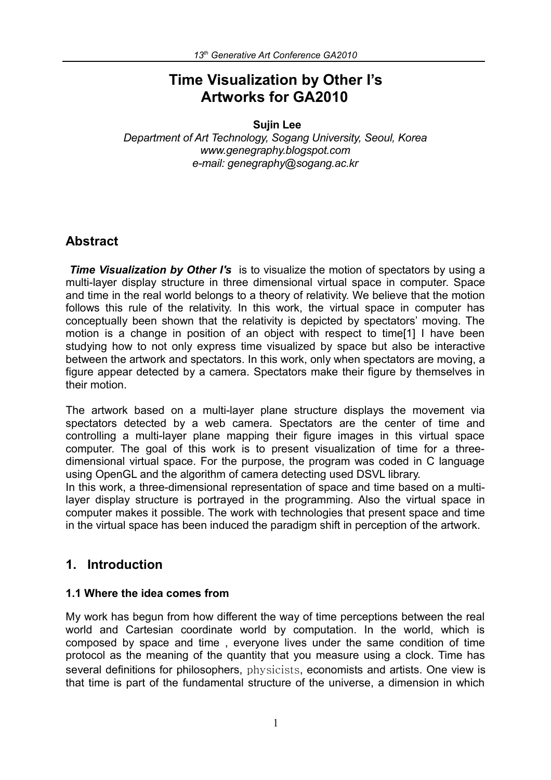# **Time Visualization by Other I's Artworks for GA2010**

 **Sujin Lee**

*Department of Art Technology, Sogang University, Seoul, Korea www.genegraphy.blogspot.com e-mail: genegraphy@sogang.ac.kr*

#### **Abstract**

*Time Visualization by Other I's* is to visualize the motion of spectators by using a multi-layer display structure in three dimensional virtual space in computer. Space and time in the real world belongs to a theory of relativity. We believe that the motion follows this rule of the relativity. In this work, the virtual space in computer has conceptually been shown that the relativity is depicted by spectators' moving. The motion is a change in position of an object with respect to time[1] I have been studying how to not only express time visualized by space but also be interactive between the artwork and spectators. In this work, only when spectators are moving, a figure appear detected by a camera. Spectators make their figure by themselves in their motion.

The artwork based on a multi-layer plane structure displays the movement via spectators detected by a web camera. Spectators are the center of time and controlling a multi-layer plane mapping their figure images in this virtual space computer. The goal of this work is to present visualization of time for a threedimensional virtual space. For the purpose, the program was coded in C language using OpenGL and the algorithm of camera detecting used DSVL library.

In this work, a three-dimensional representation of space and time based on a multilayer display structure is portrayed in the programming. Also the virtual space in computer makes it possible. The work with technologies that present space and time in the virtual space has been induced the paradigm shift in perception of the artwork.

# **1. Introduction**

#### **1.1 Where the idea comes from**

My work has begun from how different the way of time perceptions between the real world and Cartesian coordinate world by computation. In the world, which is composed by space and time , everyone lives under the same condition of time protocol as the meaning of the quantity that you measure using a clock. Time has several definitions for philosophers, physicists, economists and artists. One view is that time is part of the fundamental structure of the universe, a dimension in which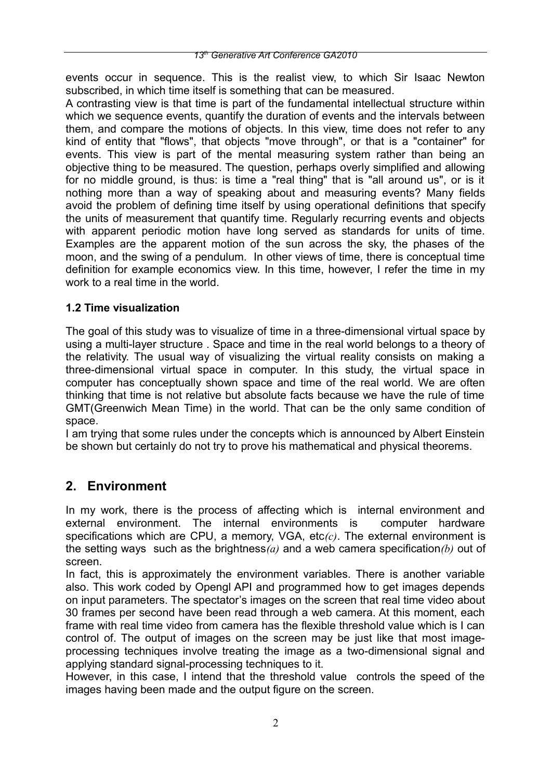events occur in sequence. This is the realist view, to which Sir Isaac Newton subscribed, in which time itself is something that can be measured.

A contrasting view is that time is part of the fundamental intellectual structure within which we sequence events, quantify the duration of events and the intervals between them, and compare the motions of objects. In this view, time does not refer to any kind of entity that "flows", that objects "move through", or that is a "container" for events. This view is part of the mental measuring system rather than being an objective thing to be measured. The question, perhaps overly simplified and allowing for no middle ground, is thus: is time a "real thing" that is "all around us", or is it nothing more than a way of speaking about and measuring events? Many fields avoid the problem of defining time itself by using operational definitions that specify the units of measurement that quantify time. Regularly recurring events and objects with apparent periodic motion have long served as standards for units of time. Examples are the apparent motion of the sun across the sky, the phases of the moon, and the swing of a pendulum. In other views of time, there is conceptual time definition for example economics view. In this time, however, I refer the time in my work to a real time in the world.

#### **1.2 Time visualization**

The goal of this study was to visualize of time in a three-dimensional virtual space by using a multi-layer structure . Space and time in the real world belongs to a theory of the relativity. The usual way of visualizing the virtual reality consists on making a three-dimensional virtual space in computer. In this study, the virtual space in computer has conceptually shown space and time of the real world. We are often thinking that time is not relative but absolute facts because we have the rule of time GMT(Greenwich Mean Time) in the world. That can be the only same condition of space.

I am trying that some rules under the concepts which is announced by Albert Einstein be shown but certainly do not try to prove his mathematical and physical theorems.

# **2. Environment**

In my work, there is the process of affecting which is internal environment and external environment. The internal environments is computer hardware specifications which are CPU, a memory, VGA, etc*(c)*. The external environment is the setting ways such as the brightness*(a)* and a web camera specification*(b)* out of screen.

In fact, this is approximately the environment variables. There is another variable also. This work coded by Opengl API and programmed how to get images depends on input parameters. The spectator's images on the screen that real time video about 30 frames per second have been read through a web camera. At this moment, each frame with real time video from camera has the flexible threshold value which is I can control of. The output of images on the screen may be just like that most imageprocessing techniques involve treating the image as a two-dimensional signal and applying standard signal-processing techniques to it.

However, in this case, I intend that the threshold value controls the speed of the images having been made and the output figure on the screen.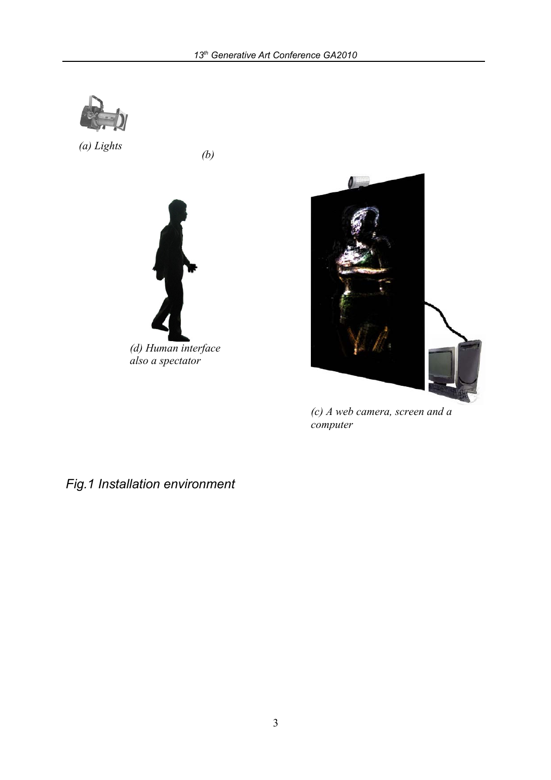

 *(b) (a) Lights*





*(c) A web camera, screen and a computer*

*Fig.1 Installation environment*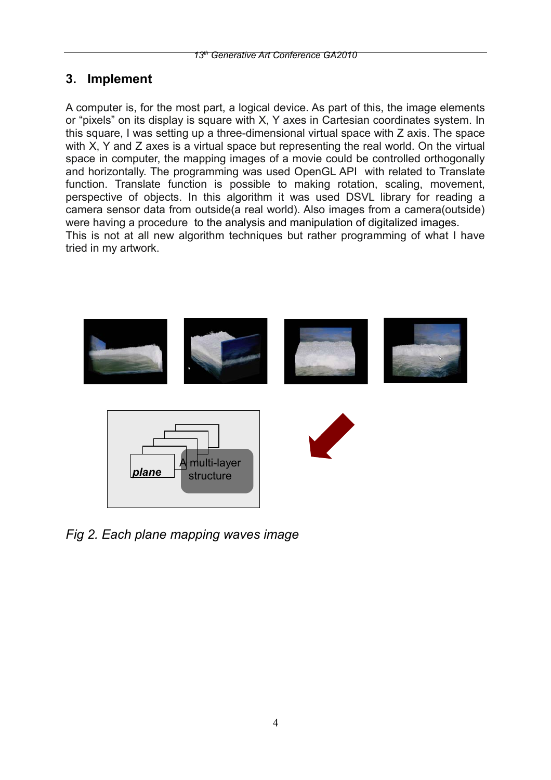# **3. Implement**

A computer is, for the most part, a logical device. As part of this, the image elements or "pixels" on its display is square with X, Y axes in Cartesian coordinates system. In this square, I was setting up a three-dimensional virtual space with Z axis. The space with X, Y and Z axes is a virtual space but representing the real world. On the virtual space in computer, the mapping images of a movie could be controlled orthogonally and horizontally. The programming was used OpenGL API with related to Translate function. Translate function is possible to making rotation, scaling, movement, perspective of objects. In this algorithm it was used DSVL library for reading a camera sensor data from outside(a real world). Also images from a camera(outside) were having a procedure to the analysis and manipulation of digitalized images. This is not at all new algorithm techniques but rather programming of what I have tried in my artwork.



*Fig 2. Each plane mapping waves image*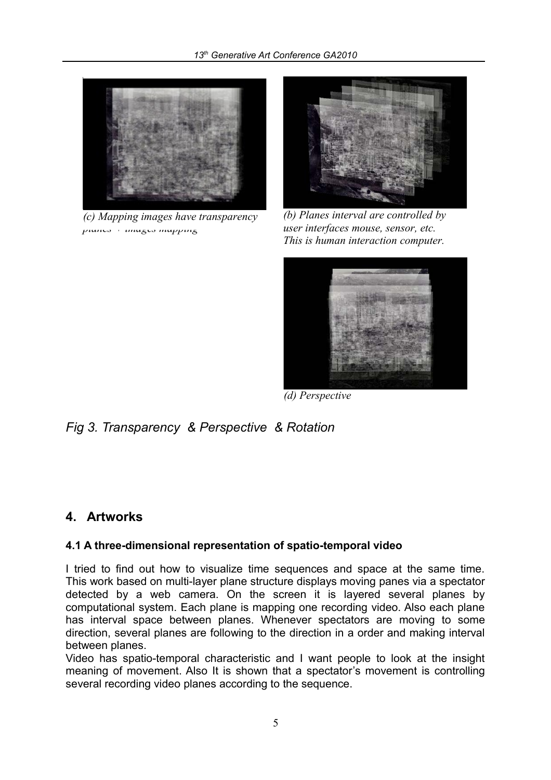

*(a) A muti-layer structure = several (c) Mapping images have transparency planes + images mapping*



*(b) Planes interval are controlled by user interfaces mouse, sensor, etc. This is human interaction computer.*



*(d) Perspective*

*Fig 3. Transparency & Perspective & Rotation*

# **4. Artworks**

#### **4.1 A three-dimensional representation of spatio-temporal video**

I tried to find out how to visualize time sequences and space at the same time. This work based on multi-layer plane structure displays moving panes via a spectator detected by a web camera. On the screen it is layered several planes by computational system. Each plane is mapping one recording video. Also each plane has interval space between planes. Whenever spectators are moving to some direction, several planes are following to the direction in a order and making interval between planes.

Video has spatio-temporal characteristic and I want people to look at the insight meaning of movement. Also It is shown that a spectator's movement is controlling several recording video planes according to the sequence.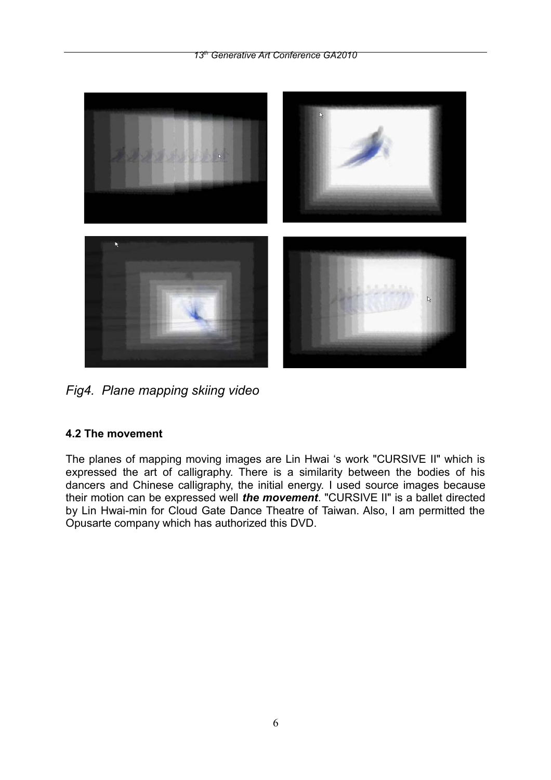*13th Generative Art Conference GA2010*



*Fig4. Plane mapping skiing video*

# **4.2 The movement**

The planes of mapping moving images are Lin Hwai 's work "CURSIVE II" which is expressed the art of calligraphy. There is a similarity between the bodies of his dancers and Chinese calligraphy, the initial energy. I used source images because their motion can be expressed well *the movement*. "CURSIVE II" is a ballet directed by Lin Hwai-min for Cloud Gate Dance Theatre of Taiwan. Also, I am permitted the Opusarte company which has authorized this DVD.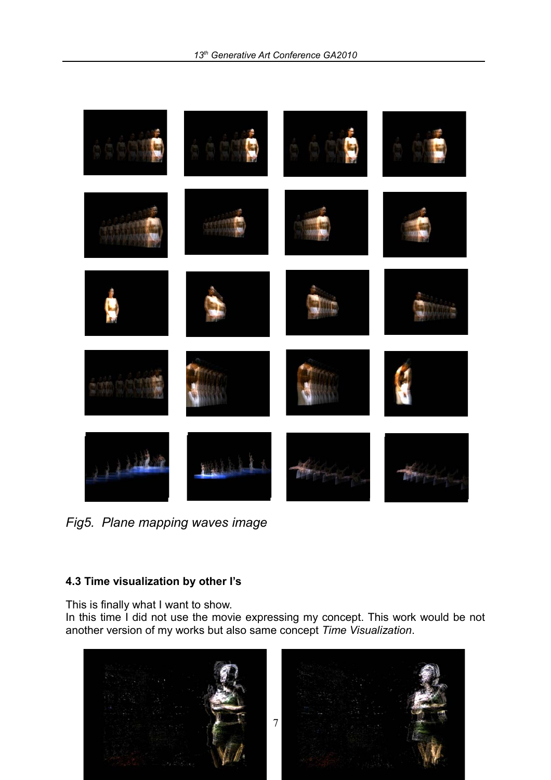

*Fig5. Plane mapping waves image*

#### **4.3 Time visualization by other I's**

This is finally what I want to show.

In this time I did not use the movie expressing my concept. This work would be not another version of my works but also same concept *Time Visualization*.

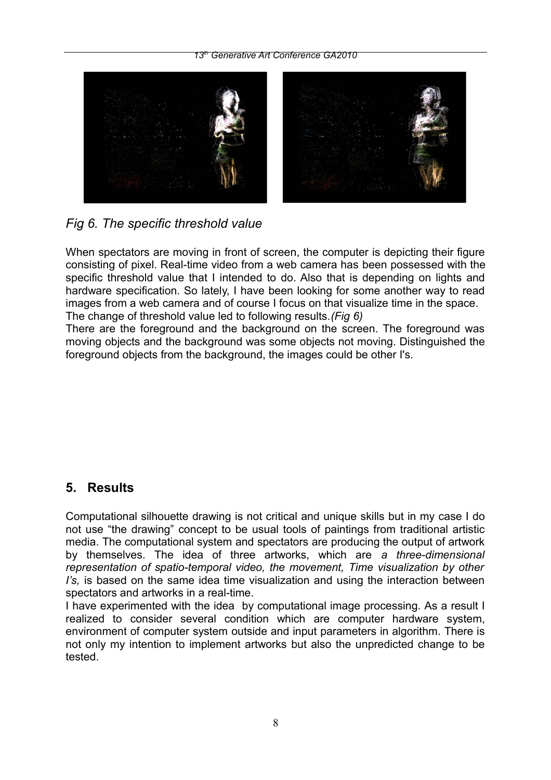#### *13th Generative Art Conference GA2010*



*Fig 6. The specific threshold value*

When spectators are moving in front of screen, the computer is depicting their figure consisting of pixel. Real-time video from a web camera has been possessed with the specific threshold value that I intended to do. Also that is depending on lights and hardware specification. So lately, I have been looking for some another way to read images from a web camera and of course I focus on that visualize time in the space. The change of threshold value led to following results.*(Fig 6)*

There are the foreground and the background on the screen. The foreground was moving objects and the background was some objects not moving. Distinguished the foreground objects from the background, the images could be other I's.

# **5. Results**

Computational silhouette drawing is not critical and unique skills but in my case I do not use "the drawing" concept to be usual tools of paintings from traditional artistic media. The computational system and spectators are producing the output of artwork by themselves. The idea of three artworks, which are *a three-dimensional representation of spatio-temporal video, the movement, Time visualization by other I's,* is based on the same idea time visualization and using the interaction between spectators and artworks in a real-time.

I have experimented with the idea by computational image processing. As a result I realized to consider several condition which are computer hardware system, environment of computer system outside and input parameters in algorithm. There is not only my intention to implement artworks but also the unpredicted change to be tested.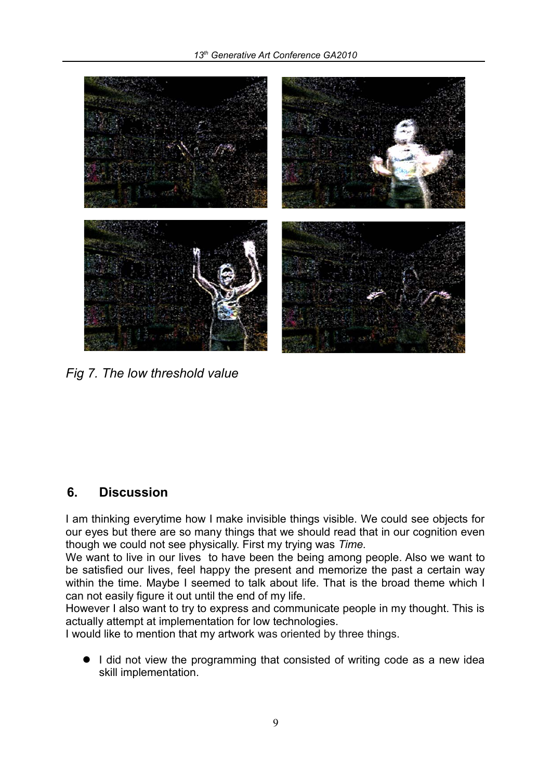

*Fig 7. The low threshold value*

# **6. Discussion**

I am thinking everytime how I make invisible things visible. We could see objects for our eyes but there are so many things that we should read that in our cognition even though we could not see physically. First my trying was *Time.*

We want to live in our lives to have been the being among people. Also we want to be satisfied our lives, feel happy the present and memorize the past a certain way within the time. Maybe I seemed to talk about life. That is the broad theme which I can not easily figure it out until the end of my life.

However I also want to try to express and communicate people in my thought. This is actually attempt at implementation for low technologies.

I would like to mention that my artwork was oriented by three things.

• I did not view the programming that consisted of writing code as a new idea skill implementation.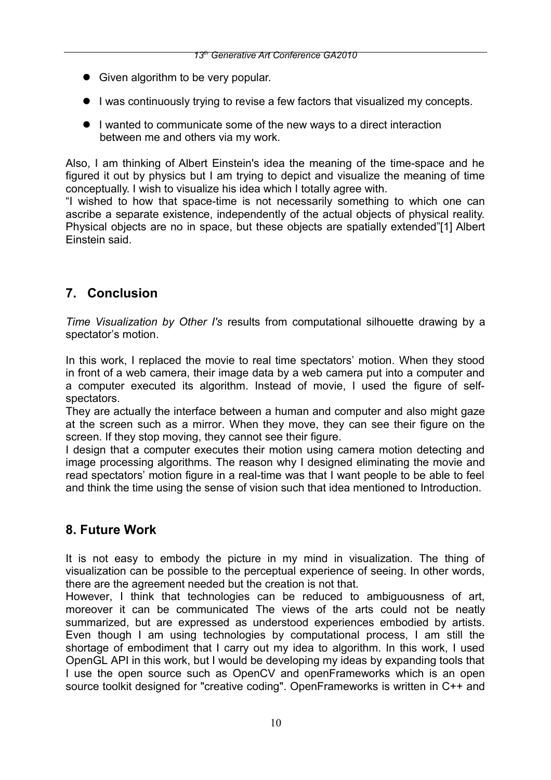- Given algorithm to be very popular.
- I was continuously trying to revise a few factors that visualized my concepts.
- I wanted to communicate some of the new ways to a direct interaction between me and others via my work.

Also, I am thinking of Albert Einstein's idea the meaning of the time-space and he figured it out by physics but I am trying to depict and visualize the meaning of time conceptually. I wish to visualize his idea which I totally agree with.

"I wished to how that space-time is not necessarily something to which one can ascribe a separate existence, independently of the actual objects of physical reality. Physical objects are no in space, but these objects are spatially extended"[1] Albert Einstein said.

# **7. Conclusion**

*Time Visualization by Other I's* results from computational silhouette drawing by a spectator's motion.

In this work, I replaced the movie to real time spectators' motion. When they stood in front of a web camera, their image data by a web camera put into a computer and a computer executed its algorithm. Instead of movie, I used the figure of selfspectators.

They are actually the interface between a human and computer and also might gaze at the screen such as a mirror. When they move, they can see their figure on the screen. If they stop moving, they cannot see their figure.

I design that a computer executes their motion using camera motion detecting and image processing algorithms. The reason why I designed eliminating the movie and read spectators' motion figure in a real-time was that I want people to be able to feel and think the time using the sense of vision such that idea mentioned to Introduction.

# **8. Future Work**

It is not easy to embody the picture in my mind in visualization. The thing of visualization can be possible to the perceptual experience of seeing. In other words, there are the agreement needed but the creation is not that.

However, I think that technologies can be reduced to ambiguousness of art, moreover it can be communicated The views of the arts could not be neatly summarized, but are expressed as understood experiences embodied by artists. Even though I am using technologies by computational process, I am still the shortage of embodiment that I carry out my idea to algorithm. In this work, I used OpenGL API in this work, but I would be developing my ideas by expanding tools that I use the open source such as OpenCV and openFrameworks which is an open source toolkit designed for "creative coding". OpenFrameworks is written in C++ and